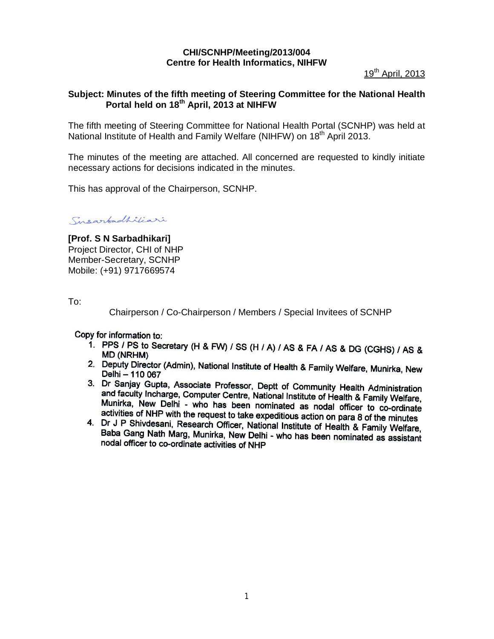# **CHI/SCNHP/Meeting/2013/004 Centre for Health Informatics, NIHFW**

19<sup>th</sup> April, 2013

### **Subject: Minutes of the fifth meeting of Steering Committee for the National Health Portal held on 18th April, 2013 at NIHFW**

The fifth meeting of Steering Committee for National Health Portal (SCNHP) was held at National Institute of Health and Family Welfare (NIHFW) on 18<sup>th</sup> April 2013.

The minutes of the meeting are attached. All concerned are requested to kindly initiate necessary actions for decisions indicated in the minutes.

This has approval of the Chairperson, SCNHP.

Susarbadhiliari

**[Prof. S N Sarbadhikari]** Project Director, CHI of NHP Member-Secretary, SCNHP Mobile: (+91) 9717669574

To:

Chairperson / Co-Chairperson / Members / Special Invitees of SCNHP

Copy for information to:

- 1. PPS / PS to Secretary (H & FW) / SS (H / A) / AS & FA / AS & DG (CGHS) / AS & **MD (NRHM)**
- 2. Deputy Director (Admin), National Institute of Health & Family Welfare, Munirka, New Delhi - 110 067
- 3. Dr Sanjay Gupta, Associate Professor, Deptt of Community Health Administration and faculty Incherge, Computer Centre, National Institute of Health & Family Welfare, Munirka, New Delhi - who has been nominated as nodal officer to co-ordinate activities of NHP with the request to take expeditious action on para 8 of the minutes
- 4. Dr J P Shivdesni, Research Officer, National Institute of Health & Family Welfare, Baba Gang Nath Marg, Munirka, New Delhi - who has been nominated as assistant nodal officer to co-ordinate activities of NHP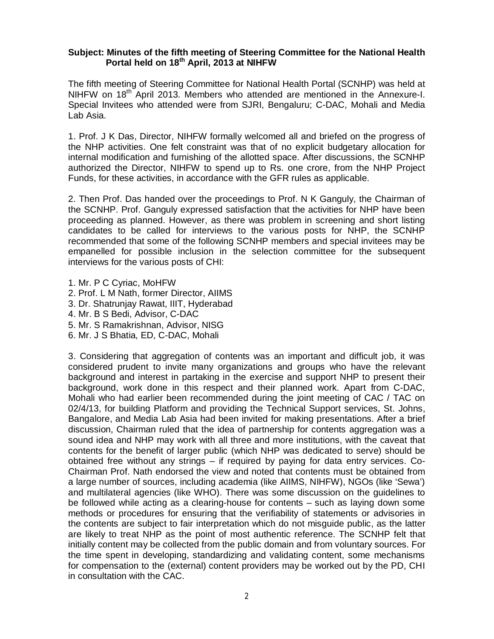### **Subject: Minutes of the fifth meeting of Steering Committee for the National Health Portal held on 18th April, 2013 at NIHFW**

The fifth meeting of Steering Committee for National Health Portal (SCNHP) was held at NIHFW on 18<sup>th</sup> April 2013. Members who attended are mentioned in the Annexure-I. Special Invitees who attended were from SJRI, Bengaluru; C-DAC, Mohali and Media Lab Asia.

1. Prof. J K Das, Director, NIHFW formally welcomed all and briefed on the progress of the NHP activities. One felt constraint was that of no explicit budgetary allocation for internal modification and furnishing of the allotted space. After discussions, the SCNHP authorized the Director, NIHFW to spend up to Rs. one crore, from the NHP Project Funds, for these activities, in accordance with the GFR rules as applicable.

2. Then Prof. Das handed over the proceedings to Prof. N K Ganguly, the Chairman of the SCNHP. Prof. Ganguly expressed satisfaction that the activities for NHP have been proceeding as planned. However, as there was problem in screening and short listing candidates to be called for interviews to the various posts for NHP, the SCNHP recommended that some of the following SCNHP members and special invitees may be empanelled for possible inclusion in the selection committee for the subsequent interviews for the various posts of CHI:

- 1. Mr. P C Cyriac, MoHFW
- 2. Prof. L M Nath, former Director, AIIMS
- 3. Dr. Shatrunjay Rawat, IIIT, Hyderabad
- 4. Mr. B S Bedi, Advisor, C-DAC
- 5. Mr. S Ramakrishnan, Advisor, NISG
- 6. Mr. J S Bhatia, ED, C-DAC, Mohali

3. Considering that aggregation of contents was an important and difficult job, it was considered prudent to invite many organizations and groups who have the relevant background and interest in partaking in the exercise and support NHP to present their background, work done in this respect and their planned work. Apart from C-DAC, Mohali who had earlier been recommended during the joint meeting of CAC / TAC on 02/4/13, for building Platform and providing the Technical Support services, St. Johns, Bangalore, and Media Lab Asia had been invited for making presentations. After a brief discussion, Chairman ruled that the idea of partnership for contents aggregation was a sound idea and NHP may work with all three and more institutions, with the caveat that contents for the benefit of larger public (which NHP was dedicated to serve) should be obtained free without any strings – if required by paying for data entry services. Co-Chairman Prof. Nath endorsed the view and noted that contents must be obtained from a large number of sources, including academia (like AIIMS, NIHFW), NGOs (like 'Sewa') and multilateral agencies (like WHO). There was some discussion on the guidelines to be followed while acting as a clearing-house for contents – such as laying down some methods or procedures for ensuring that the verifiability of statements or advisories in the contents are subject to fair interpretation which do not misguide public, as the latter are likely to treat NHP as the point of most authentic reference. The SCNHP felt that initially content may be collected from the public domain and from voluntary sources. For the time spent in developing, standardizing and validating content, some mechanisms for compensation to the (external) content providers may be worked out by the PD, CHI in consultation with the CAC.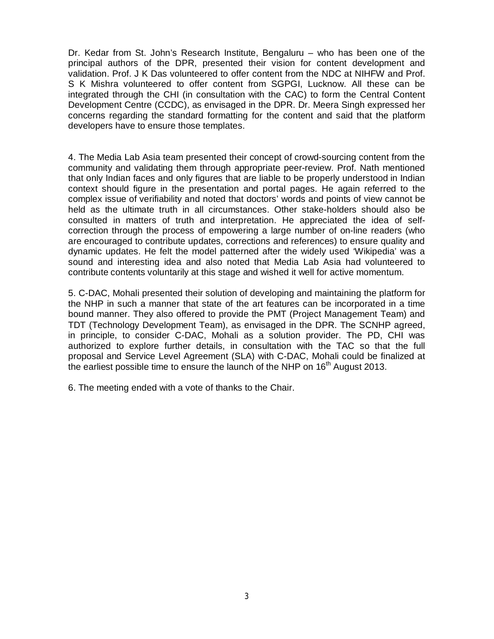Dr. Kedar from St. John's Research Institute, Bengaluru – who has been one of the principal authors of the DPR, presented their vision for content development and validation. Prof. J K Das volunteered to offer content from the NDC at NIHFW and Prof. S K Mishra volunteered to offer content from SGPGI, Lucknow. All these can be integrated through the CHI (in consultation with the CAC) to form the Central Content Development Centre (CCDC), as envisaged in the DPR. Dr. Meera Singh expressed her concerns regarding the standard formatting for the content and said that the platform developers have to ensure those templates.

4. The Media Lab Asia team presented their concept of crowd-sourcing content from the community and validating them through appropriate peer-review. Prof. Nath mentioned that only Indian faces and only figures that are liable to be properly understood in Indian context should figure in the presentation and portal pages. He again referred to the complex issue of verifiability and noted that doctors' words and points of view cannot be held as the ultimate truth in all circumstances. Other stake-holders should also be consulted in matters of truth and interpretation. He appreciated the idea of selfcorrection through the process of empowering a large number of on-line readers (who are encouraged to contribute updates, corrections and references) to ensure quality and dynamic updates. He felt the model patterned after the widely used 'Wikipedia' was a sound and interesting idea and also noted that Media Lab Asia had volunteered to contribute contents voluntarily at this stage and wished it well for active momentum.

5. C-DAC, Mohali presented their solution of developing and maintaining the platform for the NHP in such a manner that state of the art features can be incorporated in a time bound manner. They also offered to provide the PMT (Project Management Team) and TDT (Technology Development Team), as envisaged in the DPR. The SCNHP agreed, in principle, to consider C-DAC, Mohali as a solution provider. The PD, CHI was authorized to explore further details, in consultation with the TAC so that the full proposal and Service Level Agreement (SLA) with C-DAC, Mohali could be finalized at the earliest possible time to ensure the launch of the NHP on 16<sup>th</sup> August 2013.

6. The meeting ended with a vote of thanks to the Chair.